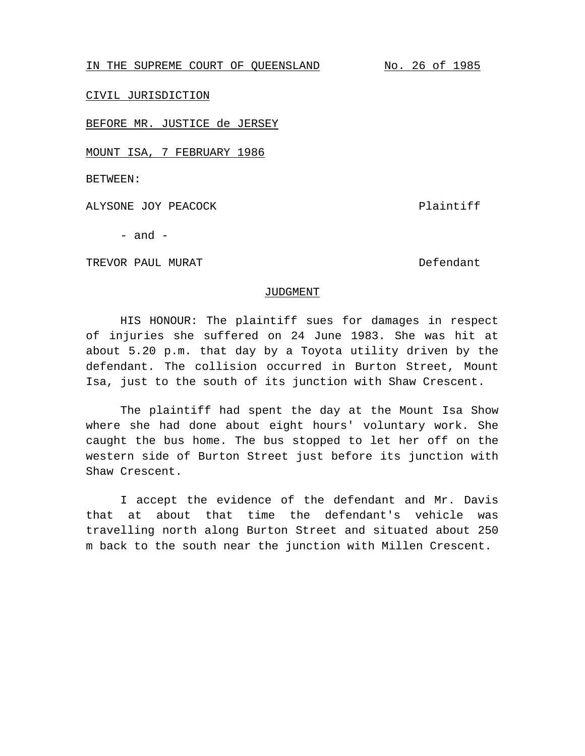IN THE SUPREME COURT OF QUEENSLAND No. 26 of 1985

CIVIL JURISDICTION

BEFORE MR. JUSTICE de JERSEY

MOUNT ISA, 7 FEBRUARY 1986

BETWEEN:

ALYSONE JOY PEACOCK Plaintiff

- and -

TREVOR PAUL MURAT **DEFENDANT** 

## JUDGMENT

HIS HONOUR: The plaintiff sues for damages in respect of injuries she suffered on 24 June 1983. She was hit at about 5.20 p.m. that day by a Toyota utility driven by the defendant. The collision occurred in Burton Street, Mount Isa, just to the south of its junction with Shaw Crescent.

The plaintiff had spent the day at the Mount Isa Show where she had done about eight hours' voluntary work. She caught the bus home. The bus stopped to let her off on the western side of Burton Street just before its junction with Shaw Crescent.

I accept the evidence of the defendant and Mr. Davis that at about that time the defendant's vehicle was travelling north along Burton Street and situated about 250 m back to the south near the junction with Millen Crescent.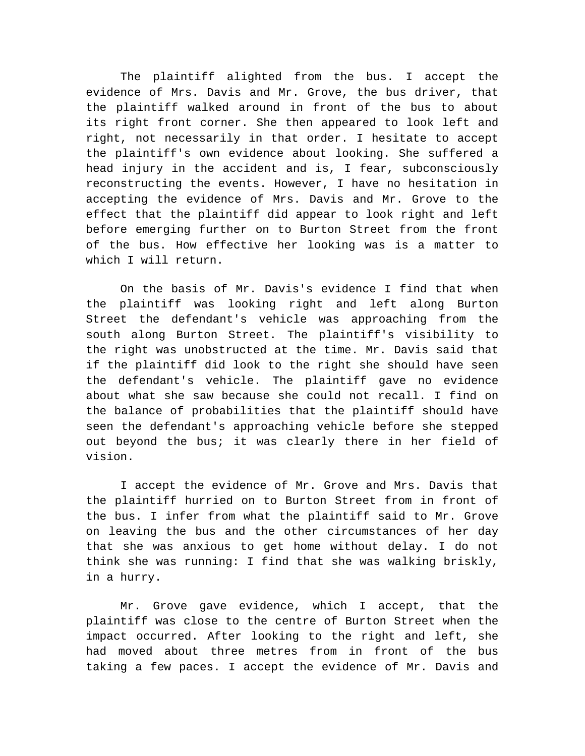The plaintiff alighted from the bus. I accept the evidence of Mrs. Davis and Mr. Grove, the bus driver, that the plaintiff walked around in front of the bus to about its right front corner. She then appeared to look left and right, not necessarily in that order. I hesitate to accept the plaintiff's own evidence about looking. She suffered a head injury in the accident and is, I fear, subconsciously reconstructing the events. However, I have no hesitation in accepting the evidence of Mrs. Davis and Mr. Grove to the effect that the plaintiff did appear to look right and left before emerging further on to Burton Street from the front of the bus. How effective her looking was is a matter to which I will return.

On the basis of Mr. Davis's evidence I find that when the plaintiff was looking right and left along Burton Street the defendant's vehicle was approaching from the south along Burton Street. The plaintiff's visibility to the right was unobstructed at the time. Mr. Davis said that if the plaintiff did look to the right she should have seen the defendant's vehicle. The plaintiff gave no evidence about what she saw because she could not recall. I find on the balance of probabilities that the plaintiff should have seen the defendant's approaching vehicle before she stepped out beyond the bus; it was clearly there in her field of vision.

I accept the evidence of Mr. Grove and Mrs. Davis that the plaintiff hurried on to Burton Street from in front of the bus. I infer from what the plaintiff said to Mr. Grove on leaving the bus and the other circumstances of her day that she was anxious to get home without delay. I do not think she was running: I find that she was walking briskly, in a hurry.

Mr. Grove gave evidence, which I accept, that the plaintiff was close to the centre of Burton Street when the impact occurred. After looking to the right and left, she had moved about three metres from in front of the bus taking a few paces. I accept the evidence of Mr. Davis and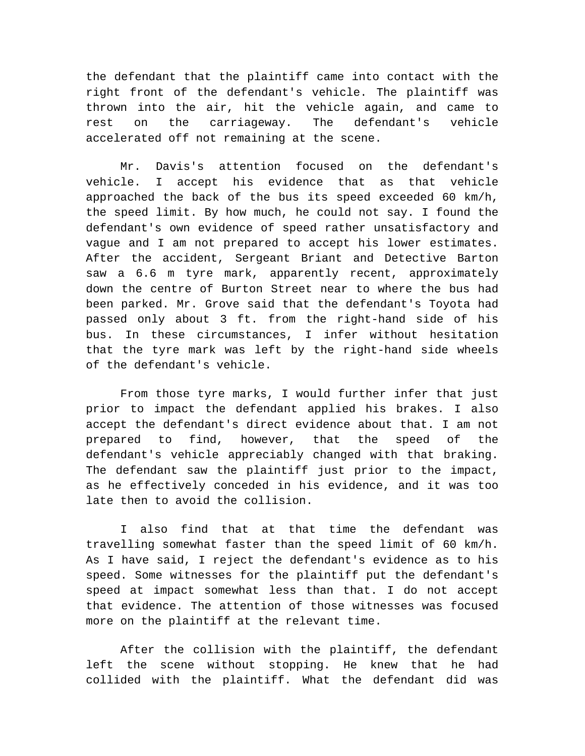the defendant that the plaintiff came into contact with the right front of the defendant's vehicle. The plaintiff was thrown into the air, hit the vehicle again, and came to rest on the carriageway. The defendant's vehicle accelerated off not remaining at the scene.

Mr. Davis's attention focused on the defendant's vehicle. I accept his evidence that as that vehicle approached the back of the bus its speed exceeded 60 km/h, the speed limit. By how much, he could not say. I found the defendant's own evidence of speed rather unsatisfactory and vague and I am not prepared to accept his lower estimates. After the accident, Sergeant Briant and Detective Barton saw a 6.6 m tyre mark, apparently recent, approximately down the centre of Burton Street near to where the bus had been parked. Mr. Grove said that the defendant's Toyota had passed only about 3 ft. from the right-hand side of his bus. In these circumstances, I infer without hesitation that the tyre mark was left by the right-hand side wheels of the defendant's vehicle.

From those tyre marks, I would further infer that just prior to impact the defendant applied his brakes. I also accept the defendant's direct evidence about that. I am not prepared to find, however, that the speed of the defendant's vehicle appreciably changed with that braking. The defendant saw the plaintiff just prior to the impact, as he effectively conceded in his evidence, and it was too late then to avoid the collision.

I also find that at that time the defendant was travelling somewhat faster than the speed limit of 60 km/h. As I have said, I reject the defendant's evidence as to his speed. Some witnesses for the plaintiff put the defendant's speed at impact somewhat less than that. I do not accept that evidence. The attention of those witnesses was focused more on the plaintiff at the relevant time.

After the collision with the plaintiff, the defendant left the scene without stopping. He knew that he had collided with the plaintiff. What the defendant did was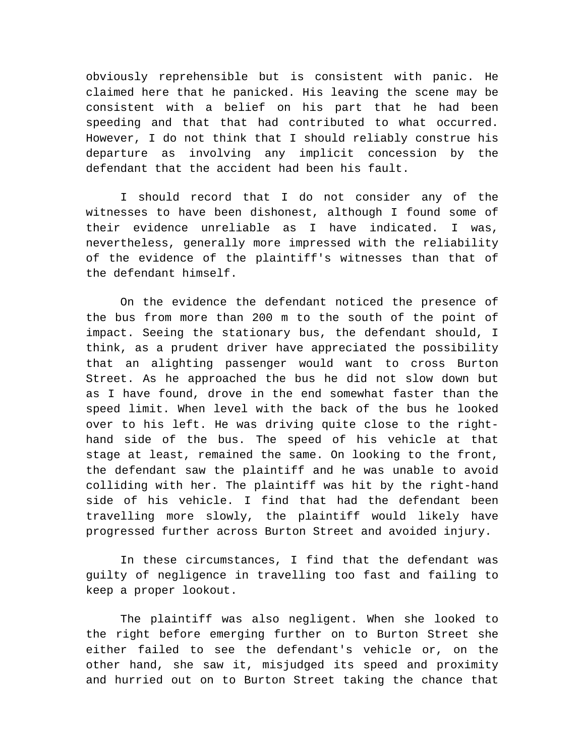obviously reprehensible but is consistent with panic. He claimed here that he panicked. His leaving the scene may be consistent with a belief on his part that he had been speeding and that that had contributed to what occurred. However, I do not think that I should reliably construe his departure as involving any implicit concession by the defendant that the accident had been his fault.

I should record that I do not consider any of the witnesses to have been dishonest, although I found some of their evidence unreliable as I have indicated. I was, nevertheless, generally more impressed with the reliability of the evidence of the plaintiff's witnesses than that of the defendant himself.

On the evidence the defendant noticed the presence of the bus from more than 200 m to the south of the point of impact. Seeing the stationary bus, the defendant should, I think, as a prudent driver have appreciated the possibility that an alighting passenger would want to cross Burton Street. As he approached the bus he did not slow down but as I have found, drove in the end somewhat faster than the speed limit. When level with the back of the bus he looked over to his left. He was driving quite close to the righthand side of the bus. The speed of his vehicle at that stage at least, remained the same. On looking to the front, the defendant saw the plaintiff and he was unable to avoid colliding with her. The plaintiff was hit by the right-hand side of his vehicle. I find that had the defendant been travelling more slowly, the plaintiff would likely have progressed further across Burton Street and avoided injury.

In these circumstances, I find that the defendant was guilty of negligence in travelling too fast and failing to keep a proper lookout.

The plaintiff was also negligent. When she looked to the right before emerging further on to Burton Street she either failed to see the defendant's vehicle or, on the other hand, she saw it, misjudged its speed and proximity and hurried out on to Burton Street taking the chance that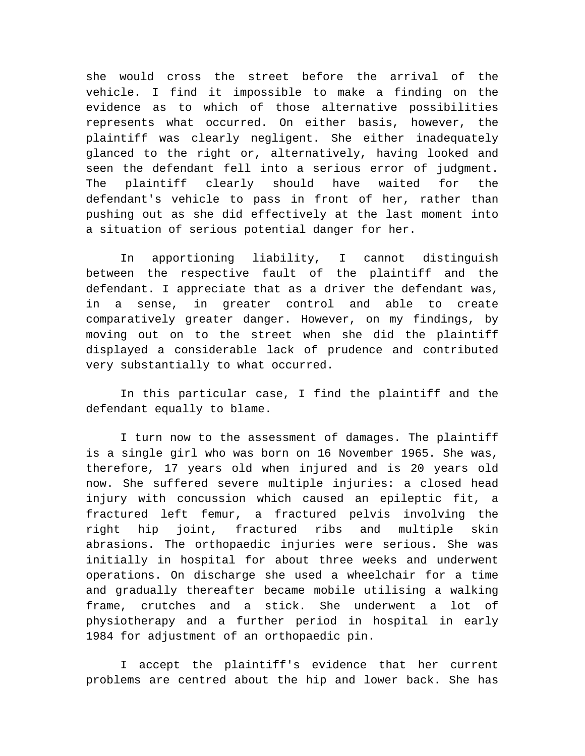she would cross the street before the arrival of the vehicle. I find it impossible to make a finding on the evidence as to which of those alternative possibilities represents what occurred. On either basis, however, the plaintiff was clearly negligent. She either inadequately glanced to the right or, alternatively, having looked and seen the defendant fell into a serious error of judgment. The plaintiff clearly should have waited for the defendant's vehicle to pass in front of her, rather than pushing out as she did effectively at the last moment into a situation of serious potential danger for her.

In apportioning liability, I cannot distinguish between the respective fault of the plaintiff and the defendant. I appreciate that as a driver the defendant was, in a sense, in greater control and able to create comparatively greater danger. However, on my findings, by moving out on to the street when she did the plaintiff displayed a considerable lack of prudence and contributed very substantially to what occurred.

In this particular case, I find the plaintiff and the defendant equally to blame.

I turn now to the assessment of damages. The plaintiff is a single girl who was born on 16 November 1965. She was, therefore, 17 years old when injured and is 20 years old now. She suffered severe multiple injuries: a closed head injury with concussion which caused an epileptic fit, a fractured left femur, a fractured pelvis involving the right hip joint, fractured ribs and multiple skin abrasions. The orthopaedic injuries were serious. She was initially in hospital for about three weeks and underwent operations. On discharge she used a wheelchair for a time and gradually thereafter became mobile utilising a walking frame, crutches and a stick. She underwent a lot of physiotherapy and a further period in hospital in early 1984 for adjustment of an orthopaedic pin.

I accept the plaintiff's evidence that her current problems are centred about the hip and lower back. She has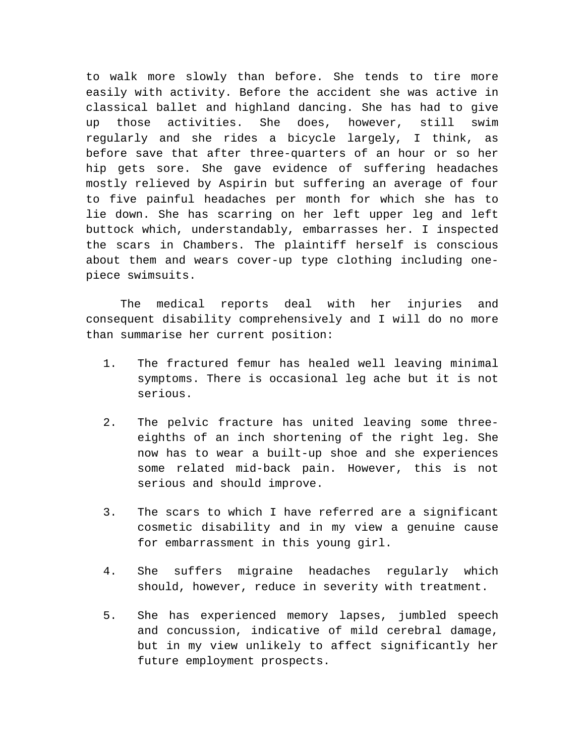to walk more slowly than before. She tends to tire more easily with activity. Before the accident she was active in classical ballet and highland dancing. She has had to give up those activities. She does, however, still swim regularly and she rides a bicycle largely, I think, as before save that after three-quarters of an hour or so her hip gets sore. She gave evidence of suffering headaches mostly relieved by Aspirin but suffering an average of four to five painful headaches per month for which she has to lie down. She has scarring on her left upper leg and left buttock which, understandably, embarrasses her. I inspected the scars in Chambers. The plaintiff herself is conscious about them and wears cover-up type clothing including onepiece swimsuits.

The medical reports deal with her injuries and consequent disability comprehensively and I will do no more than summarise her current position:

- 1. The fractured femur has healed well leaving minimal symptoms. There is occasional leg ache but it is not serious.
- 2. The pelvic fracture has united leaving some threeeighths of an inch shortening of the right leg. She now has to wear a built-up shoe and she experiences some related mid-back pain. However, this is not serious and should improve.
- 3. The scars to which I have referred are a significant cosmetic disability and in my view a genuine cause for embarrassment in this young girl.
- 4. She suffers migraine headaches regularly which should, however, reduce in severity with treatment.
- 5. She has experienced memory lapses, jumbled speech and concussion, indicative of mild cerebral damage, but in my view unlikely to affect significantly her future employment prospects.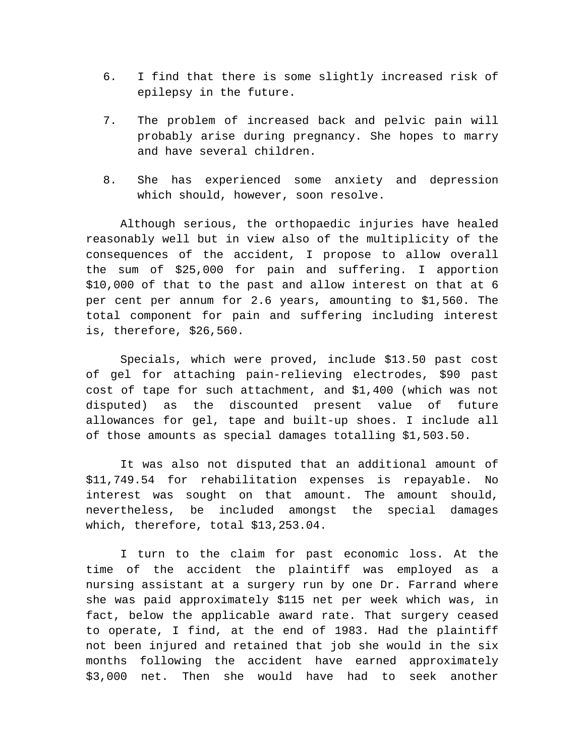- 6. I find that there is some slightly increased risk of epilepsy in the future.
- 7. The problem of increased back and pelvic pain will probably arise during pregnancy. She hopes to marry and have several children.
- 8. She has experienced some anxiety and depression which should, however, soon resolve.

Although serious, the orthopaedic injuries have healed reasonably well but in view also of the multiplicity of the consequences of the accident, I propose to allow overall the sum of \$25,000 for pain and suffering. I apportion \$10,000 of that to the past and allow interest on that at 6 per cent per annum for 2.6 years, amounting to \$1,560. The total component for pain and suffering including interest is, therefore, \$26,560.

Specials, which were proved, include \$13.50 past cost of gel for attaching pain-relieving electrodes, \$90 past cost of tape for such attachment, and \$1,400 (which was not disputed) as the discounted present value of future allowances for gel, tape and built-up shoes. I include all of those amounts as special damages totalling \$1,503.50.

It was also not disputed that an additional amount of \$11,749.54 for rehabilitation expenses is repayable. No interest was sought on that amount. The amount should, nevertheless, be included amongst the special damages which, therefore, total \$13,253.04.

I turn to the claim for past economic loss. At the time of the accident the plaintiff was employed as a nursing assistant at a surgery run by one Dr. Farrand where she was paid approximately \$115 net per week which was, in fact, below the applicable award rate. That surgery ceased to operate, I find, at the end of 1983. Had the plaintiff not been injured and retained that job she would in the six months following the accident have earned approximately \$3,000 net. Then she would have had to seek another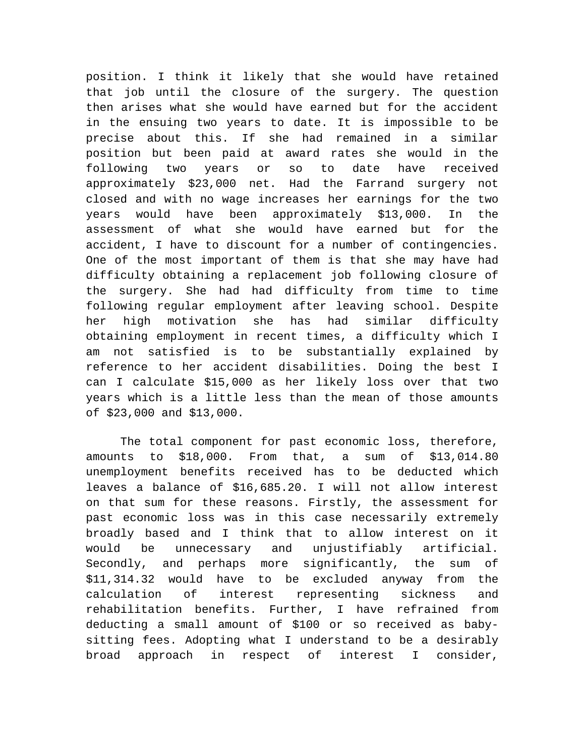position. I think it likely that she would have retained that job until the closure of the surgery. The question then arises what she would have earned but for the accident in the ensuing two years to date. It is impossible to be precise about this. If she had remained in a similar position but been paid at award rates she would in the following two years or so to date have received approximately \$23,000 net. Had the Farrand surgery not closed and with no wage increases her earnings for the two years would have been approximately \$13,000. In the assessment of what she would have earned but for the accident, I have to discount for a number of contingencies. One of the most important of them is that she may have had difficulty obtaining a replacement job following closure of the surgery. She had had difficulty from time to time following regular employment after leaving school. Despite her high motivation she has had similar difficulty obtaining employment in recent times, a difficulty which I am not satisfied is to be substantially explained by reference to her accident disabilities. Doing the best I can I calculate \$15,000 as her likely loss over that two years which is a little less than the mean of those amounts of \$23,000 and \$13,000.

The total component for past economic loss, therefore, amounts to \$18,000. From that, a sum of \$13,014.80 unemployment benefits received has to be deducted which leaves a balance of \$16,685.20. I will not allow interest on that sum for these reasons. Firstly, the assessment for past economic loss was in this case necessarily extremely broadly based and I think that to allow interest on it would be unnecessary and unjustifiably artificial. Secondly, and perhaps more significantly, the sum of \$11,314.32 would have to be excluded anyway from the calculation of interest representing sickness and rehabilitation benefits. Further, I have refrained from deducting a small amount of \$100 or so received as babysitting fees. Adopting what I understand to be a desirably broad approach in respect of interest I consider,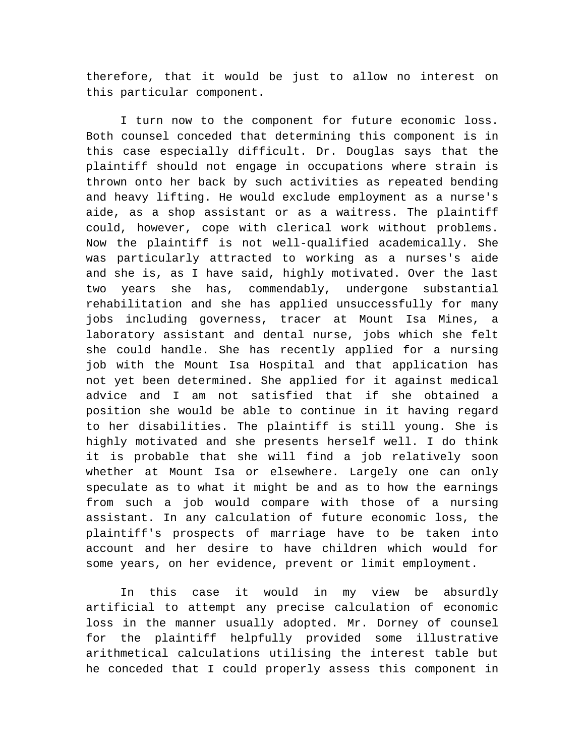therefore, that it would be just to allow no interest on this particular component.

I turn now to the component for future economic loss. Both counsel conceded that determining this component is in this case especially difficult. Dr. Douglas says that the plaintiff should not engage in occupations where strain is thrown onto her back by such activities as repeated bending and heavy lifting. He would exclude employment as a nurse's aide, as a shop assistant or as a waitress. The plaintiff could, however, cope with clerical work without problems. Now the plaintiff is not well-qualified academically. She was particularly attracted to working as a nurses's aide and she is, as I have said, highly motivated. Over the last two years she has, commendably, undergone substantial rehabilitation and she has applied unsuccessfully for many jobs including governess, tracer at Mount Isa Mines, a laboratory assistant and dental nurse, jobs which she felt she could handle. She has recently applied for a nursing job with the Mount Isa Hospital and that application has not yet been determined. She applied for it against medical advice and I am not satisfied that if she obtained a position she would be able to continue in it having regard to her disabilities. The plaintiff is still young. She is highly motivated and she presents herself well. I do think it is probable that she will find a job relatively soon whether at Mount Isa or elsewhere. Largely one can only speculate as to what it might be and as to how the earnings from such a job would compare with those of a nursing assistant. In any calculation of future economic loss, the plaintiff's prospects of marriage have to be taken into account and her desire to have children which would for some years, on her evidence, prevent or limit employment.

In this case it would in my view be absurdly artificial to attempt any precise calculation of economic loss in the manner usually adopted. Mr. Dorney of counsel for the plaintiff helpfully provided some illustrative arithmetical calculations utilising the interest table but he conceded that I could properly assess this component in